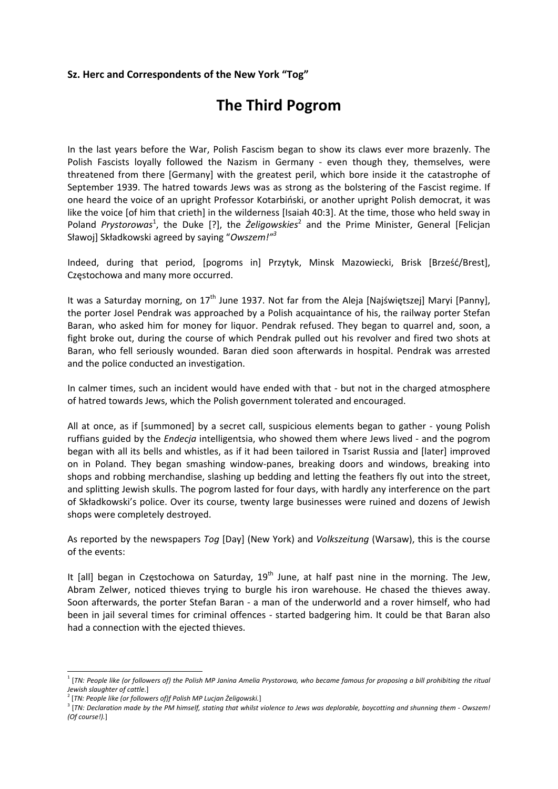## **Sz. Herc and Correspondents of the New York "Tog"**

# **The Third Pogrom**

In the last years before the War, Polish Fascism began to show its claws ever more brazenly. The Polish Fascists loyally followed the Nazism in Germany - even though they, themselves, were threatened from there [Germany] with the greatest peril, which bore inside it the catastrophe of September 1939. The hatred towards Jews was as strong as the bolstering of the Fascist regime. If one heard the voice of an upright Professor Kotarbiński, or another upright Polish democrat, it was like the voice [of him that crieth] in the wilderness [Isaiah 40:3]. At the time, those who held sway in Poland Prystorowas<sup>1</sup>, the Duke [?], the *Żeligowskies*<sup>2</sup> and the Prime Minister, General [Felicjan Sławoj] Składkowski agreed by saying "*Owszem!"<sup>3</sup>*

Indeed, during that period, [pogroms in] Przytyk, Minsk Mazowiecki, Brisk [Brześć/Brest], Częstochowa and many more occurred.

It was a Saturday morning, on  $17<sup>th</sup>$  June 1937. Not far from the Aleja [Najświętszej] Maryi [Panny], the porter Josel Pendrak was approached by a Polish acquaintance of his, the railway porter Stefan Baran, who asked him for money for liquor. Pendrak refused. They began to quarrel and, soon, a fight broke out, during the course of which Pendrak pulled out his revolver and fired two shots at Baran, who fell seriously wounded. Baran died soon afterwards in hospital. Pendrak was arrested and the police conducted an investigation.

In calmer times, such an incident would have ended with that ‐ but not in the charged atmosphere of hatred towards Jews, which the Polish government tolerated and encouraged.

All at once, as if [summoned] by a secret call, suspicious elements began to gather ‐ young Polish ruffians guided by the *Endecja* intelligentsia, who showed them where Jews lived ‐ and the pogrom began with all its bells and whistles, as if it had been tailored in Tsarist Russia and [later] improved on in Poland. They began smashing window‐panes, breaking doors and windows, breaking into shops and robbing merchandise, slashing up bedding and letting the feathers fly out into the street, and splitting Jewish skulls. The pogrom lasted for four days, with hardly any interference on the part of Składkowski's police. Over its course, twenty large businesses were ruined and dozens of Jewish shops were completely destroyed.

As reported by the newspapers *Tog* [Day] (New York) and *Volkszeitung* (Warsaw), this is the course of the events:

It [all] began in Częstochowa on Saturday,  $19<sup>th</sup>$  June, at half past nine in the morning. The Jew, Abram Zelwer, noticed thieves trying to burgle his iron warehouse. He chased the thieves away. Soon afterwards, the porter Stefan Baran ‐ a man of the underworld and a rover himself, who had been in jail several times for criminal offences - started badgering him. It could be that Baran also had a connection with the ejected thieves.

<sup>&</sup>lt;sup>1</sup> [TN: People like (or followers of) the Polish MP Janina Amelia Prystorowa, who became famous for proposing a bill prohibiting the ritual *Jewish slaughter of cattle.*] <sup>2</sup> [*TN: People like (or followers of)f Polish MP Lucjan Żeligowski.*]

<sup>&</sup>lt;sup>1</sup> TN: Declaration made by the PM himself, stating that whilst violence to Jews was deplorable, boycotting and shunning them - Owszem! *(Of course!).*]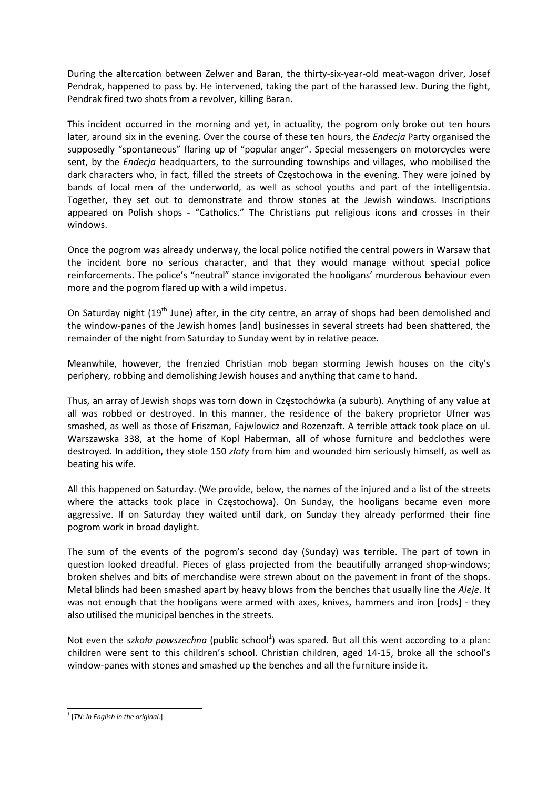During the altercation between Zelwer and Baran, the thirty-six-year-old meat-wagon driver, Josef Pendrak, happened to pass by. He intervened, taking the part of the harassed Jew. During the fight, Pendrak fired two shots from a revolver, killing Baran.

This incident occurred in the morning and yet, in actuality, the pogrom only broke out ten hours later, around six in the evening. Over the course of these ten hours, the *Endecja* Party organised the supposedly "spontaneous" flaring up of "popular anger". Special messengers on motorcycles were sent, by the *Endecja* headquarters, to the surrounding townships and villages, who mobilised the dark characters who, in fact, filled the streets of Częstochowa in the evening. They were joined by bands of local men of the underworld, as well as school youths and part of the intelligentsia. Together, they set out to demonstrate and throw stones at the Jewish windows. Inscriptions appeared on Polish shops - "Catholics." The Christians put religious icons and crosses in their windows.

Once the pogrom was already underway, the local police notified the central powers in Warsaw that the incident bore no serious character, and that they would manage without special police reinforcements. The police's "neutral" stance invigorated the hooligans' murderous behaviour even more and the pogrom flared up with a wild impetus.

On Saturday night (19<sup>th</sup> June) after, in the city centre, an array of shops had been demolished and the window‐panes of the Jewish homes [and] businesses in several streets had been shattered, the remainder of the night from Saturday to Sunday went by in relative peace.

Meanwhile, however, the frenzied Christian mob began storming Jewish houses on the city's periphery, robbing and demolishing Jewish houses and anything that came to hand.

Thus, an array of Jewish shops was torn down in Częstochówka (a suburb). Anything of any value at all was robbed or destroyed. In this manner, the residence of the bakery proprietor Ufner was smashed, as well as those of Friszman, Fajwlowicz and Rozenzaft. A terrible attack took place on ul. Warszawska 338, at the home of Kopl Haberman, all of whose furniture and bedclothes were destroyed. In addition, they stole 150 *złoty* from him and wounded him seriously himself, as well as beating his wife.

All this happened on Saturday. (We provide, below, the names of the injured and a list of the streets where the attacks took place in Częstochowa). On Sunday, the hooligans became even more aggressive. If on Saturday they waited until dark, on Sunday they already performed their fine pogrom work in broad daylight.

The sum of the events of the pogrom's second day (Sunday) was terrible. The part of town in question looked dreadful. Pieces of glass projected from the beautifully arranged shop‐windows; broken shelves and bits of merchandise were strewn about on the pavement in front of the shops. Metal blinds had been smashed apart by heavy blows from the benches that usually line the *Aleje*. It was not enough that the hooligans were armed with axes, knives, hammers and iron [rods] - they also utilised the municipal benches in the streets.

Not even the *szkoła powszechna* (public school<sup>1</sup>) was spared. But all this went according to a plan: children were sent to this children's school. Christian children, aged 14‐15, broke all the school's window-panes with stones and smashed up the benches and all the furniture inside it.

 <sup>1</sup> [*TN: In English in the original.*]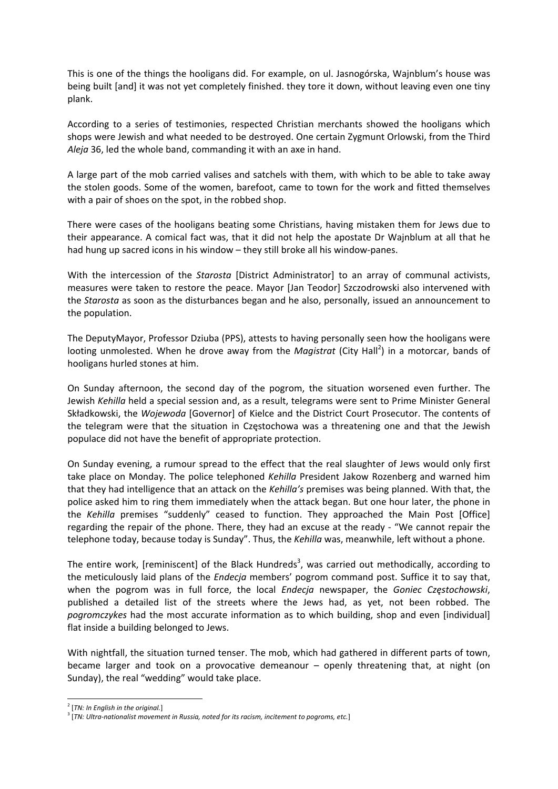This is one of the things the hooligans did. For example, on ul. Jasnogórska, Wajnblum's house was being built [and] it was not yet completely finished. they tore it down, without leaving even one tiny plank.

According to a series of testimonies, respected Christian merchants showed the hooligans which shops were Jewish and what needed to be destroyed. One certain Zygmunt Orlowski, from the Third *Aleja* 36, led the whole band, commanding it with an axe in hand.

A large part of the mob carried valises and satchels with them, with which to be able to take away the stolen goods. Some of the women, barefoot, came to town for the work and fitted themselves with a pair of shoes on the spot, in the robbed shop.

There were cases of the hooligans beating some Christians, having mistaken them for Jews due to their appearance. A comical fact was, that it did not help the apostate Dr Wajnblum at all that he had hung up sacred icons in his window – they still broke all his window-panes.

With the intercession of the *Starosta* [District Administrator] to an array of communal activists, measures were taken to restore the peace. Mayor [Jan Teodor] Szczodrowski also intervened with the *Starosta* as soon as the disturbances began and he also, personally, issued an announcement to the population.

The DeputyMayor, Professor Dziuba (PPS), attests to having personally seen how the hooligans were looting unmolested. When he drove away from the Magistrat (City Hall<sup>2</sup>) in a motorcar, bands of hooligans hurled stones at him.

On Sunday afternoon, the second day of the pogrom, the situation worsened even further. The Jewish *Kehilla* held a special session and, as a result, telegrams were sent to Prime Minister General Składkowski, the *Wojewoda* [Governor] of Kielce and the District Court Prosecutor. The contents of the telegram were that the situation in Częstochowa was a threatening one and that the Jewish populace did not have the benefit of appropriate protection.

On Sunday evening, a rumour spread to the effect that the real slaughter of Jews would only first take place on Monday. The police telephoned *Kehilla* President Jakow Rozenberg and warned him that they had intelligence that an attack on the *Kehilla's* premises was being planned. With that, the police asked him to ring them immediately when the attack began. But one hour later, the phone in the *Kehilla* premises "suddenly" ceased to function. They approached the Main Post [Office] regarding the repair of the phone. There, they had an excuse at the ready ‐ "We cannot repair the telephone today, because today is Sunday". Thus, the *Kehilla* was, meanwhile, left without a phone.

The entire work, [reminiscent] of the Black Hundreds<sup>3</sup>, was carried out methodically, according to the meticulously laid plans of the *Endecja* members' pogrom command post. Suffice it to say that, when the pogrom was in full force, the local *Endecja* newspaper, the *Goniec Częstochowski*, published a detailed list of the streets where the Jews had, as yet, not been robbed. The *pogromczykes* had the most accurate information as to which building, shop and even [individual] flat inside a building belonged to Jews.

With nightfall, the situation turned tenser. The mob, which had gathered in different parts of town, became larger and took on a provocative demeanour – openly threatening that, at night (on Sunday), the real "wedding" would take place.

 <sup>2</sup> [*TN: In English in the original.*]

<sup>3</sup> [*TN: Ultra‐nationalist movement in Russia, noted for its racism, incitement to pogroms, etc.*]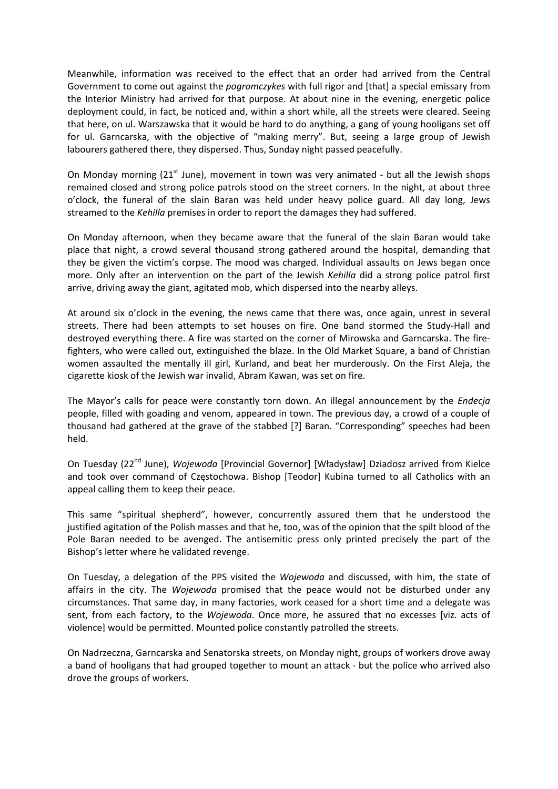Meanwhile, information was received to the effect that an order had arrived from the Central Government to come out against the *pogromczykes* with full rigor and [that] a special emissary from the Interior Ministry had arrived for that purpose. At about nine in the evening, energetic police deployment could, in fact, be noticed and, within a short while, all the streets were cleared. Seeing that here, on ul. Warszawska that it would be hard to do anything, a gang of young hooligans set off for ul. Garncarska, with the objective of "making merry". But, seeing a large group of Jewish labourers gathered there, they dispersed. Thus, Sunday night passed peacefully.

On Monday morning ( $21<sup>st</sup>$  June), movement in town was very animated - but all the Jewish shops remained closed and strong police patrols stood on the street corners. In the night, at about three o'clock, the funeral of the slain Baran was held under heavy police guard. All day long, Jews streamed to the *Kehilla* premises in order to report the damages they had suffered.

On Monday afternoon, when they became aware that the funeral of the slain Baran would take place that night, a crowd several thousand strong gathered around the hospital, demanding that they be given the victim's corpse. The mood was charged. Individual assaults on Jews began once more. Only after an intervention on the part of the Jewish *Kehilla* did a strong police patrol first arrive, driving away the giant, agitated mob, which dispersed into the nearby alleys.

At around six o'clock in the evening, the news came that there was, once again, unrest in several streets. There had been attempts to set houses on fire. One band stormed the Study‐Hall and destroyed everything there. A fire was started on the corner of Mirowska and Garncarska. The fire‐ fighters, who were called out, extinguished the blaze. In the Old Market Square, a band of Christian women assaulted the mentally ill girl, Kurland, and beat her murderously. On the First Aleja, the cigarette kiosk of the Jewish war invalid, Abram Kawan, was set on fire.

The Mayor's calls for peace were constantly torn down. An illegal announcement by the *Endecja* people, filled with goading and venom, appeared in town. The previous day, a crowd of a couple of thousand had gathered at the grave of the stabbed [?] Baran. "Corresponding" speeches had been held.

On Tuesday (22nd June), *Wojewoda* [Provincial Governor] [Władysław] Dziadosz arrived from Kielce and took over command of Częstochowa. Bishop [Teodor] Kubina turned to all Catholics with an appeal calling them to keep their peace.

This same "spiritual shepherd", however, concurrently assured them that he understood the justified agitation of the Polish masses and that he, too, was of the opinion that the spilt blood of the Pole Baran needed to be avenged. The antisemitic press only printed precisely the part of the Bishop's letter where he validated revenge.

On Tuesday, a delegation of the PPS visited the *Wojewoda* and discussed, with him, the state of affairs in the city. The *Wojewoda* promised that the peace would not be disturbed under any circumstances. That same day, in many factories, work ceased for a short time and a delegate was sent, from each factory, to the *Wojewoda*. Once more, he assured that no excesses [viz. acts of violence] would be permitted. Mounted police constantly patrolled the streets.

On Nadrzeczna, Garncarska and Senatorska streets, on Monday night, groups of workers drove away a band of hooligans that had grouped together to mount an attack ‐ but the police who arrived also drove the groups of workers.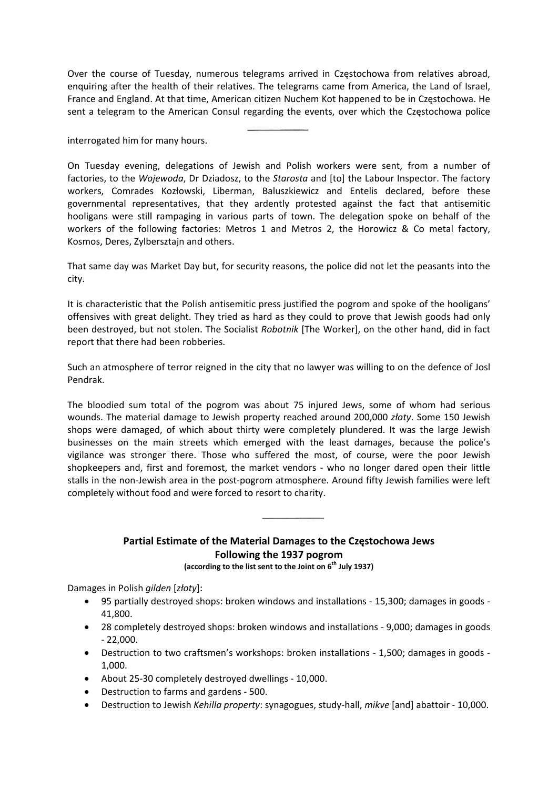Over the course of Tuesday, numerous telegrams arrived in Częstochowa from relatives abroad, enquiring after the health of their relatives. The telegrams came from America, the Land of Israel, France and England. At that time, American citizen Nuchem Kot happened to be in Czestochowa. He sent a telegram to the American Consul regarding the events, over which the Częstochowa police

interrogated him for many hours.

On Tuesday evening, delegations of Jewish and Polish workers were sent, from a number of factories, to the Wojewoda, Dr Dziadosz, to the Starosta and [to] the Labour Inspector. The factory workers, Comrades Kozłowski, Liberman, Baluszkiewicz and Entelis declared, before these governmental representatives, that they ardently protested against the fact that antisemitic hooligans were still rampaging in various parts of town. The delegation spoke on behalf of the workers of the following factories: Metros 1 and Metros 2, the Horowicz & Co metal factory, Kosmos, Deres, Zylbersztajn and others.

That same day was Market Day but, for security reasons, the police did not let the peasants into the city.

It is characteristic that the Polish antisemitic press justified the pogrom and spoke of the hooligans' offensives with great delight. They tried as hard as they could to prove that Jewish goods had only been destroyed, but not stolen. The Socialist Robotnik [The Worker], on the other hand, did in fact report that there had been robberies.

Such an atmosphere of terror reigned in the city that no lawyer was willing to on the defence of Josl Pendrak

The bloodied sum total of the pogrom was about 75 injured Jews, some of whom had serious wounds. The material damage to Jewish property reached around 200,000 złoty. Some 150 Jewish shops were damaged, of which about thirty were completely plundered. It was the large Jewish businesses on the main streets which emerged with the least damages, because the police's vigilance was stronger there. Those who suffered the most, of course, were the poor Jewish shopkeepers and, first and foremost, the market vendors - who no longer dared open their little stalls in the non-Jewish area in the post-pogrom atmosphere. Around fifty Jewish families were left completely without food and were forced to resort to charity.

## Partial Estimate of the Material Damages to the Częstochowa Jews Following the 1937 pogrom

(according to the list sent to the Joint on 6<sup>th</sup> July 1937)

Damages in Polish gilden [złoty]:

- 95 partially destroved shops: broken windows and installations 15,300; damages in goods -41,800.
- 28 completely destroyed shops: broken windows and installations 9,000; damages in goods  $-22.000.$
- Destruction to two craftsmen's workshops: broken installations 1,500; damages in goods -1,000.
- About 25-30 completely destroyed dwellings 10,000.
- Destruction to farms and gardens 500.
- Destruction to Jewish Kehilla property: synagogues, study-hall, mikye [and] abattoir 10,000.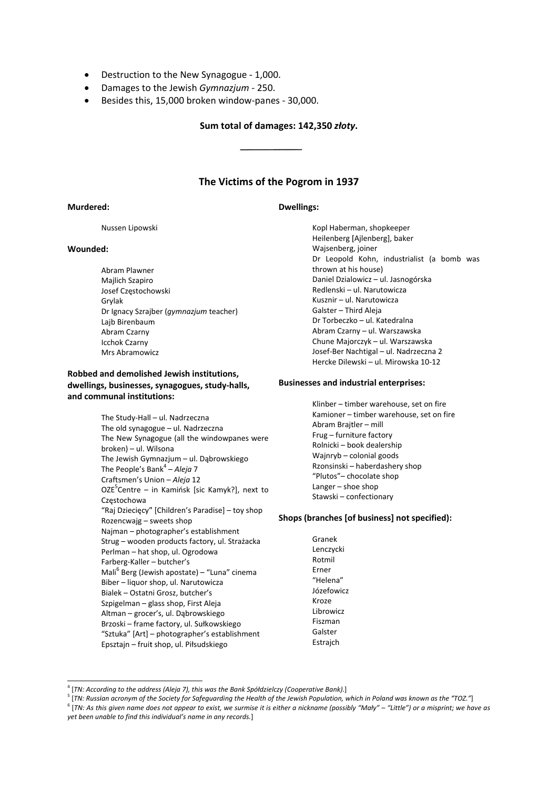- Destruction to the New Synagogue 1,000.  $\bullet$
- Damages to the Jewish Gymnazjum 250.  $\bullet$
- Besides this, 15,000 broken window-panes 30,000.  $\bullet$

#### Sum total of damages: 142,350 złoty.

## The Victims of the Pogrom in 1937

**Dwellings:** 

#### Murdered:

Nussen Lipowski

#### Wounded:

Abram Plawner Majlich Szapiro Josef Częstochowski Grylak Dr Ignacy Szrajber (gymnazjum teacher) Lajb Birenbaum Abram Czarny **Icchok Czarny** Mrs Abramowicz

## Robbed and demolished Jewish institutions. dwellings, businesses, synagogues, study-halls, and communal institutions:

The Study-Hall - ul. Nadrzeczna The old synagogue - ul. Nadrzeczna The New Synagogue (all the windowpanes were broken) - ul. Wilsona The Jewish Gymnazjum - ul. Dąbrowskiego The People's Bank<sup>4</sup> - Aleja 7 Craftsmen's Union - Aleja 12 OZE<sup>5</sup>Centre - in Kamińsk [sic Kamyk?], next to Czestochowa "Raj Dziecięcy" [Children's Paradise] - toy shop Rozencwajg - sweets shop Najman - photographer's establishment Strug - wooden products factory, ul. Strażacka Perlman - hat shop, ul. Ogrodowa Farberg-Kaller - butcher's Mali<sup>6</sup> Berg (Jewish apostate) - "Luna" cinema Biber - liquor shop, ul. Narutowicza Bialek - Ostatni Grosz, butcher's Szpigelman - glass shop, First Aleja Altman - grocer's, ul. Dabrowskiego Brzoski – frame factory, ul. Sułkowskiego "Sztuka" [Art] - photographer's establishment Epsztajn – fruit shop, ul. Piłsudskiego

Kopl Haberman, shopkeeper Heilenberg [Ajlenberg], baker Wajsenberg, joiner Dr Leopold Kohn, industrialist (a bomb was thrown at his house) Daniel Dzialowicz - ul. Jasnogórska Redlenski - ul. Narutowicza Kusznir - ul. Narutowicza Galster - Third Aleja Dr Torbeczko - ul. Katedralna Abram Czarny - ul. Warszawska Chune Majorczyk - ul. Warszawska Josef-Ber Nachtigal - ul. Nadrzeczna 2 Hercke Dilewski - ul. Mirowska 10-12

#### **Businesses and industrial enterprises:**

Klinber - timber warehouse, set on fire Kamioner - timber warehouse, set on fire Abram Brajtler - mill Frug - furniture factory Rolnicki - book dealership Wainryb - colonial goods Rzonsinski - haberdashery shop "Plutos"- chocolate shop Langer  $-$  shoe shop Stawski - confectionary

#### Shops (branches [of business] not specified):

Granek Lenczycki Rotmil Erner "Helena" Józefowicz Kroze Librowicz Fiszman Galster Estraich

<sup>6</sup> [TN: As this given name does not appear to exist, we surmise it is either a nickname (possibly "Mały" – "Little") or a misprint; we have as yet been unable to find this individual's name in any records.]

<sup>&</sup>lt;sup>4</sup> [TN: According to the address (Aleja 7), this was the Bank Spółdzielczy (Cooperative Bank).]

<sup>&</sup>lt;sup>5</sup> [TN: Russian acronym of the Society for Safeguarding the Health of the Jewish Population, which in Poland was known as the "TOZ."]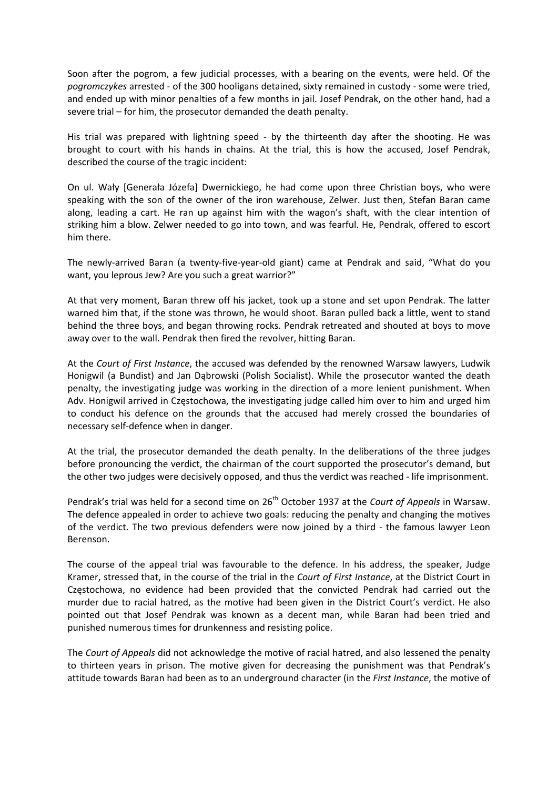Soon after the pogrom, a few judicial processes, with a bearing on the events, were held. Of the *pogromczykes* arrested ‐ of the 300 hooligans detained, sixty remained in custody ‐ some were tried, and ended up with minor penalties of a few months in jail. Josef Pendrak, on the other hand, had a severe trial – for him, the prosecutor demanded the death penalty.

His trial was prepared with lightning speed - by the thirteenth day after the shooting. He was brought to court with his hands in chains. At the trial, this is how the accused, Josef Pendrak, described the course of the tragic incident:

On ul. Wały [Generała Józefa] Dwernickiego, he had come upon three Christian boys, who were speaking with the son of the owner of the iron warehouse, Zelwer. Just then, Stefan Baran came along, leading a cart. He ran up against him with the wagon's shaft, with the clear intention of striking him a blow. Zelwer needed to go into town, and was fearful. He, Pendrak, offered to escort him there.

The newly‐arrived Baran (a twenty‐five‐year‐old giant) came at Pendrak and said, "What do you want, you leprous Jew? Are you such a great warrior?"

At that very moment, Baran threw off his jacket, took up a stone and set upon Pendrak. The latter warned him that, if the stone was thrown, he would shoot. Baran pulled back a little, went to stand behind the three boys, and began throwing rocks. Pendrak retreated and shouted at boys to move away over to the wall. Pendrak then fired the revolver, hitting Baran.

At the *Court of First Instance*, the accused was defended by the renowned Warsaw lawyers, Ludwik Honigwil (a Bundist) and Jan Dąbrowski (Polish Socialist). While the prosecutor wanted the death penalty, the investigating judge was working in the direction of a more lenient punishment. When Adv. Honigwil arrived in Częstochowa, the investigating judge called him over to him and urged him to conduct his defence on the grounds that the accused had merely crossed the boundaries of necessary self‐defence when in danger.

At the trial, the prosecutor demanded the death penalty. In the deliberations of the three judges before pronouncing the verdict, the chairman of the court supported the prosecutor's demand, but the other two judges were decisively opposed, and thus the verdict was reached ‐ life imprisonment.

Pendrak's trial was held for a second time on 26<sup>th</sup> October 1937 at the *Court of Appeals* in Warsaw. The defence appealed in order to achieve two goals: reducing the penalty and changing the motives of the verdict. The two previous defenders were now joined by a third - the famous lawyer Leon Berenson.

The course of the appeal trial was favourable to the defence. In his address, the speaker, Judge Kramer, stressed that, in the course of the trial in the *Court of First Instance*, at the District Court in Częstochowa, no evidence had been provided that the convicted Pendrak had carried out the murder due to racial hatred, as the motive had been given in the District Court's verdict. He also pointed out that Josef Pendrak was known as a decent man, while Baran had been tried and punished numerous times for drunkenness and resisting police.

The *Court of Appeals* did not acknowledge the motive of racial hatred, and also lessened the penalty to thirteen years in prison. The motive given for decreasing the punishment was that Pendrak's attitude towards Baran had been as to an underground character (in the *First Instance*, the motive of